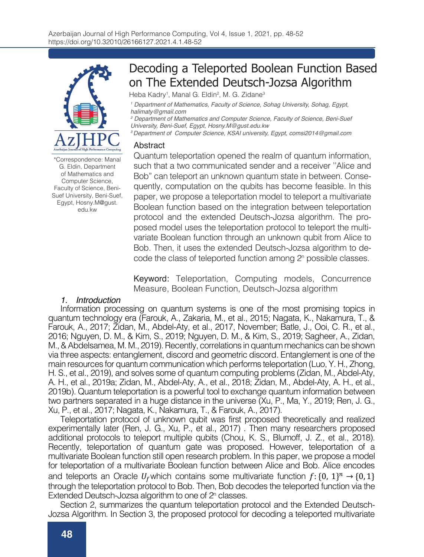

\*Correspondence: Manal G. Eldin, Department of Mathematics and Computer Science, Faculty of Science, Beni-Suef University, Beni-Suef, Egypt, Hosny.M@gust. edu.kw

# Decoding a Teleported Boolean Function Based on The Extended Deutsch-Jozsa Algorithm

Heba Kadry<sup>1</sup>, Manal G. Eldin<sup>2</sup>, M. G. Zidane<sup>3</sup>

<sup>1</sup> Department of Mathematics, Faculty of Science, Sohag University, Sohag, Egypt, *halimaty@gmail.com*

<sup>2</sup> Department of Mathematics and Computer Science, Faculty of Science, Beni-Suef *University, Beni-Suef, Egypt, Hosny.M@gust.edu.kw*

*3 Department of Computer Science, KSAI university, Egypt, comsi2014@gmail.com*

### Abstract

Quantum teleportation opened the realm of quantum information, such that a two communicated sender and a receiver ''Alice and Bob" can teleport an unknown quantum state in between. Consequently, computation on the qubits has become feasible. In this paper, we propose a teleportation model to teleport a multivariate Boolean function based on the integration between teleportation protocol and the extended Deutsch-Jozsa algorithm. The proposed model uses the teleportation protocol to teleport the multivariate Boolean function through an unknown qubit from Alice to Bob. Then, it uses the extended Deutsch-Jozsa algorithm to decode the class of teleported function among 2<sup>n</sup> possible classes.

Keyword: Teleportation, Computing models, Concurrence Measure, Boolean Function, Deutsch-Jozsa algorithm

## *1. Introduction*

Information processing on quantum systems is one of the most promising topics in quantum technology era (Farouk, A., Zakaria, M., et al., 2015; Nagata, K., Nakamura, T., & Farouk, A., 2017; Zidan, M., Abdel-Aty, et al., 2017, November; Batle, J., Ooi, C. R., et al., 2016; Nguyen, D. M., & Kim, S., 2019; Nguyen, D. M., & Kim, S., 2019; Sagheer, A., Zidan, M., & Abdelsamea, M. M., 2019). Recently, correlations in quantum mechanics can be shown via three aspects: entanglement, discord and geometric discord. Entanglement is one of the main resources for quantum communication which performs teleportation (Luo, Y. H., Zhong, H. S., et al., 2019), and solves some of quantum computing problems (Zidan, M., Abdel-Aty, A. H., et al., 2019a; Zidan, M., Abdel-Aty, A., et al., 2018; Zidan, M., Abdel-Aty, A. H., et al., 2019b). Quantum teleportation is a powerful tool to exchange quantum information between two partners separated in a huge distance in the universe (Xu, P., Ma, Y., 2019; Ren, J. G., Xu, P., et al., 2017; Nagata, K., Nakamura, T., & Farouk, A., 2017).

Teleportation protocol of unknown qubit was first proposed theoretically and realized experimentally later (Ren, J. G., Xu, P., et al., 2017) . Then many researchers proposed additional protocols to teleport multiple qubits (Chou, K. S., Blumoff, J. Z., et al., 2018). Recently, teleportation of quantum gate was proposed. However, teleportation of a multivariate Boolean function still open research problem. In this paper, we propose a model for teleportation of a multivariate Boolean function between Alice and Bob. Alice encodes and teleports an Oracle  $U_f$  which contains some multivariate function  $f: \{0, 1\}^n \to \{0, 1\}$ through the teleportation protocol to Bob. Then, Bob decodes the teleported function via the Extended Deutsch-Jozsa algorithm to one of 2<sup>n</sup> classes.

Section 2, summarizes the quantum teleportation protocol and the Extended Deutsch-Jozsa Algorithm. In Section 3, the proposed protocol for decoding a teleported multivariate Boolean Function based on the Extended Deutsch-Jozsa Algorithm is explained in details.

*2. Methodology*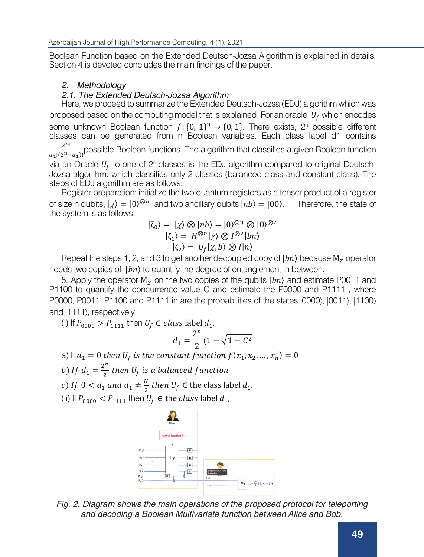Boolean Function based on the Extended Deutsch-Jozsa Algorithm is explained in details. Section 4 is devoted concludes the main findings of the paper.

## *2. Methodology*

## *2.1. The Extended Deutsch-Jozsa Algorithm*

Here, we proceed to summarize the Extended Deutsch-Jozsa (EDJ) algorithm which was proposed based on the computing model that is explained. For an oracle  $U_f$  which encodes some unknown Boolean function  $f: \{0, 1\}^n \to \{0, 1\}$ . There exists,  $2^n$  possible different classes can be generated from n Boolean variables. Each class label d1 contains  $2^n!$  $\frac{2}{d_1!(2^n-d_1)!}$ possible Boolean functions. The algorithm that classifies a given Boolean function via an Oracle  $U_f$  to one of  $2^n$  classes is the EDJ algorithm compared to original Deutsch-Jozsa algorithm. which classifies only 2 classes (balanced class and constant class). The steps of EDJ algorithm are as follows:

Register preparation: initialize the two quantum registers as a tensor product of a register of size n qubits,  $|\chi\rangle = |0\rangle^{\otimes n}$ , and two ancillary qubits  $|nb\rangle = |00\rangle$ . Therefore, the state of the system is as follows:

$$
|\zeta_0\rangle = |\chi\rangle \otimes |nb\rangle = |0\rangle^{\otimes n} \otimes |0\rangle^{\otimes 2}
$$
  

$$
|\zeta_1\rangle = H^{\otimes n}|\chi\rangle \otimes I^{\otimes 2}|bn\rangle
$$
  

$$
|\zeta_2\rangle = U_f|\chi, b\rangle \otimes I|n\rangle
$$

Repeat the steps 1, 2, and 3 to get another decoupled copy of  $|hn\rangle$  because  $M_z$  operator needs two copies of  $|bn\rangle$  to quantify the degree of entanglement in between.

5. Apply the operator  $M_z$  on the two copies of the qubits  $|bn\rangle$  and estimate P0011 and P1100 to quantify the concurrence value C and estimate the P0000 and P1111 , where P0000, P0011, P1100 and P1111 in are the probabilities of the states  $|0000\rangle$ ,  $|0011\rangle$ ,  $|1100\rangle$ and  $|1111\rangle$ , respectively.

(i) If  $P_{0000} > P_{1111}$  then  $U_f \in class$  label  $d_1$ ,

$$
d_1 = \frac{2^n}{2}(1 - \sqrt{1 - C^2})
$$

a) If  $d_1 = 0$  then  $U_f$  is the constant function  $f(x_1, x_2, ..., x_n) = 0$ 

) If  $d_1 = \frac{2^n}{2}$  then  $U_f$  is a balanced fu

- c) If  $0 < d_1$  and  $d_1 \neq \frac{N}{2}$  then  $U_f \in$  the class label  $d_1$ .
- (ii) If  $P_{0000} < P_{1111}$  then  $U_f \in$  the *class* label  $d_1$ ,



Fig. 2. Diagram shows the main operations of the proposed protocol for teleporting and decoding a Boolean Multivariate function between Alice and Bob. chosen by Alice without revealing information about the function about the function to Eve. Hence, Alice needs

to Bob. Bob needs to figure out the class label + of the multivariate function which is teleported via the quantum channel by Alice using the Extended Deutsch-Jozsa algorithm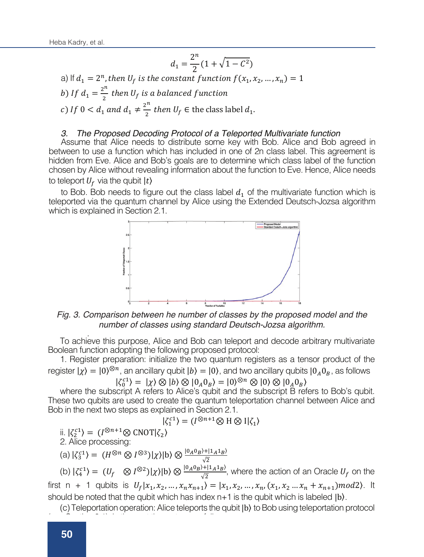$$
d_1 = \frac{2^n}{2} (1 + \sqrt{1 - C^2})
$$

a) If  $d_1 = 2^n$ , then  $U_f$  is the constant function  $f(x_1, x_2, ..., x_n) = 1$ b) If  $d_1 = \frac{2^n}{2}$  then  $U_f$  is a balanced func c) If  $0 < d_1$  and  $d_1 \neq \frac{2^n}{2}$  then  $U_f \in$  the class label  $d_1$ .  $\begin{array}{cc}\n a_1 & 2 \end{array}$ 

#### *3. The Proposed Decoding Protocol of a Teleported Multivariate function*  $\overline{a}$   $\overline{a}$   $\overline{b}$   $\overline{c}$   $\overline{b}$   $\overline{c}$   $\overline{c}$   $\overline{d}$   $\overline{d}$   $\overline{d}$   $\overline{d}$   $\overline{d}$   $\overline{d}$   $\overline{d}$   $\overline{d}$   $\overline{d}$   $\overline{d}$   $\overline{d}$   $\overline{d}$   $\overline{d}$   $\overline{d}$   $\overline{d}$   $\overline{d}$   $\overline{d}$   $\overline{$

3. The Proposed Decoding Protocol of a Teleported Multivariate function<br>Assume that Alice needs to distribute some key with Bob. Alice and Bob agreed in between to use a function which has included in one of 2n class label. This agreement is<br>bidden from Eve, Alice and Bob's goals are to determine which class label of the function hidden from Eve. Alice and Bob's goals are to determine which class label. This agreement is<br>hidden from Eve. Alice and Bob's goals are to determine which class label of the function chosen by Alice without revealing information about the function to Eve. Hence, Alice needs to teleport  $U_f$  via the qubit  $|t\rangle$ but the class label  $d_1$  o

to Bob. Bob needs to figure out the class label  $d_1$  of the multivariate function which is teleported via the quantum channel by Alice using the Extended Deutsch-Jozsa algorithm which is explained in Section 2.1.



Fig. 3. Comparison between he number of classes by the proposed model and the number of classes using standard Deutsch-Jozsa algorithm.<br>
<sup>2.htm</sup> number of classes using standard Deutsch-Jozsa algorithm. which is explained in Section 2.1.

To achieve this purpose, Alice and Bob can teleport and decode arbitrary multivariate Boolean function adopting the following proposed protocol: )lean function adopting the following proposed protocol:<br>1. Register preparation: initialize the two quantum registers as a tensor product of the

first negional proporation. Initialize the two quantum regions as a tensor product of the<br> $\frac{1}{\alpha}$  =  $\frac{1}{\alpha}$  =  $\frac{1}{\alpha}$  =  $\frac{1}{\alpha}$  =  $\frac{1}{\alpha}$  =  $\frac{1}{\alpha}$  =  $\frac{1}{\alpha}$  =  $\frac{1}{\alpha}$ register  $|\chi\rangle = |0\rangle^{\otimes n}$ , an ancillary qubit  $|b\rangle = |0\rangle$ , and two ancillary qubits  $|0_A0_B|$ , as follows  $|0_A0_B|$ , and  $|0_A0_B|$ 

$$
\zeta_0^{c1} = (\chi) \otimes (b) \otimes (0_A 0_B) = (0)^{\otimes n} \otimes (0) \otimes (0_A 0_B)
$$

 $|\zeta_0^{c1}\rangle = |\chi\rangle \otimes |b\rangle \otimes |0_A 0_B\rangle = |0\rangle^{\otimes n} \otimes |0\rangle \otimes |0_A 0_B\rangle$ <br>where the subscript A refers to Alice's qubit and the subscript B refers to Bob's qubit where the subscript A felers to Alice's qubit and the subscript B felers to Bob's qubit.<br>These two qubits are used to create the quantum teleportation channel between Alice and Bob in the next two steps as explained in Section 2.1. where the subscript A refers to Alice's qubit and the subscript B refers to Bob's qubit.

$$
|\zeta_1^{c1}\rangle = (I^{\otimes n+1}\otimes H \otimes I|\zeta_1\rangle
$$

ii.  $\left|\zeta_2^{c1}\right\rangle = (I^{\otimes n+1} \otimes \text{CNOT} \left|\zeta_2\right\rangle$  $\langle \mathbf{K}_1 | \mathbf{K}_2^{\mathsf{C}^1} \rangle = (I^{\otimes n+1} \otimes \text{CNOT} | \mathbf{K}_2)$ 

2. Alice processing:

(a) 
$$
|\zeta_3^{c1}\rangle = (H^{\otimes n} \otimes I^{\otimes 3})|\chi\rangle|b\rangle \otimes \frac{|0_A0_B\rangle + |1_A1_B\rangle}{\sqrt{2}}
$$

(see Section 2.1), in the next three steps as follows:<br><u>In the next three</u> steps as follows:

with the first n  $\mathcal{A}$  and  $\mathcal{A}$  and  $\mathcal{A}$  and  $\mathcal{A}$  and  $\mathcal{A}$  and  $\mathcal{A}$  and  $\mathcal{A}$ 

(b)  $|\zeta_4^{(2)}\rangle = (U_f \otimes I^{\otimes 2})|\chi\rangle|b\rangle \otimes \frac{|0_A0_B\rangle + |1_A1_B\rangle}{\sqrt{2}}$ , where the action of an Oracle  $U_f$  on the first n + 1 qubits is  $U_f | x_1, x_2, ..., x_n x_{n+1} \rangle = | x_1, x_2, ..., x_n, (x_1, x_2, ..., x_n + x_{n+1}) \mod 2$ . It  $B_{\text{tot}}$  both processings:  $B_{\text{tot}}$  receives the classical message, matrix  $\mathbf{r}$  and  $\mathbf{r}$  is  $\mathbf{r}$  and  $\mathbf{r}$  is  $\mathbf{r}$  and  $\mathbf{r}$  is  $\mathbf{r}$  and  $\mathbf{r}$  is  $\mathbf{r}$  and  $\mathbf{r}$  is  $\mathbf{r}$  is  $\mathbf{r}$ should be noted that the qubit which has index n+1 is the qubit which is labeled  $|b\rangle$ . (b)  $|\zeta_4^{c1}\rangle = (U_f \otimes I^{\otimes 2})|\chi\rangle|b\rangle \otimes \frac{|0_A0_B\rangle + |1_A1_B\rangle}{\sqrt{2}}$ , where the action of an Oracle  $U_f$  on the

0#⟩. Bob applies the operator Mz to the last four qubits of the state |:

(c) Teleportation operation: Alice teleports the qubit |b) to Bob using teleportation protocol

0+⟩ = (⊗"1+⊗ ⊗#|6` Remark: in the above step, the Hadmard gate is applied to

estimates the probabilities of the states |0000ñ, |0011ñ, |1100ñ and |1111ñ, and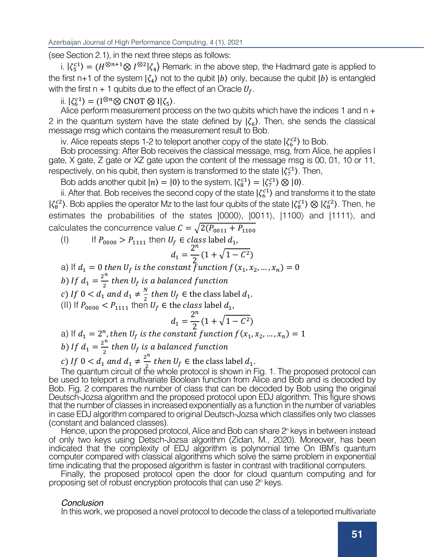(see Section 2.1), in the next three steps as follows:

i.  $|\zeta_5^{c1}\rangle = (H^{\otimes n+1} \otimes I^{\otimes 2}|\zeta_4\rangle$  Remark: in the above step, the Hadmard gate is applied to the first n+1 of the system  $\zeta_4$  not to the qubit  $\zeta$  only, because the qubit  $\zeta$  is entangled with the first n + 1 qubits due to the effect of an Oracle  $U_f$ .

 $\langle \mathbf{K}^{\text{cl}} \rangle = (\mathbf{I}^{\otimes n} \otimes \text{CNOT} \otimes \mathbf{I} | \zeta_5).$ 

Alice perform measurement process on the two qubits which have the indices 1 and n + 2 in the quantum system have the state defined by  $|\zeta_{\epsilon}\rangle$ . Then, she sends the classical message msg which contains the measurement result to Bob.

iv. Alice repeats steps 1-2 to teleport another copy of the state  $\binom{7c^2}{6}$  to Bob.

Bob processing: After Bob receives the classical message, msg, from Alice, he applies I gate, X gate, Z gate or XZ gate upon the content of the message msg is 00, 01, 10 or 11, respectively, on his qubit, then system is transformed to the state  $|\zeta_7^{c1}\rangle$ . Then,

Bob adds another qubit  $|n\rangle = |0\rangle$  to the system,  $|\zeta_8^{c_1}\rangle = |\zeta_7^{c_1}\rangle \otimes |0\rangle$ .

ii. After that. Bob receives the second copy of the state  $\ket{\zeta_6^{c_1}}$  and transforms it to the state  $|\zeta_8^{c2}\rangle$ . Bob applies the operator Mz to the last four qubits of the state  $|\zeta_8^{c1}\rangle\otimes|\zeta_8^{c2}\rangle$ . Then, he estimates the probabilities of the states  $|0000\rangle$ ,  $|0011\rangle$ ,  $|1100\rangle$  and  $|1111\rangle$ , and calculates the concurrence value  $C = \sqrt{2(P_{0011} + P_{1100})}$ 

(I) If  $P_{0000} > P_{1111}$  then  $U_f \in class$  label  $d_1$ ,

$$
d_1 = \frac{2^n}{2} (1 + \sqrt{1 - C^2})
$$

a) If  $d_1 = 0$  then  $U_f$  is the constant function  $f(x_1, x_2, ..., x_n) = 0$ 

b) If  $d_1 = \frac{2^n}{2}$  then  $U_f$  is a balanced fu

c) If  $0 < d_1$  and  $d_1 \neq \frac{N}{2}$  then  $U_f \in$  the class label  $d_1$ .

(II) If  $P_{0000} < P_{1111}$  then  $U_f \in$  the class label  $d_1$ ,

$$
d_1 = \frac{2^n}{2} (1 + \sqrt{1 - C^2})
$$

a) If  $d_1 = 2^n$ , then  $U_f$  is the constant function  $f(x_1, x_2, ..., x_n) = 1$ b) If  $d_1 = \frac{2^n}{2}$  then  $U_f$  is a balanced fu

c) If  $0 < d_1$  and  $d_1 \neq \frac{2^n}{n}$  then  $U_f \in$  the class label  $d_1$ .<br>The guarantum give it of the unbelogenteed is obourn in l

The quantum circuit of the whole protocol is shown in Fig. 1. The proposed protocol can be used to teleport a multivariate Boolean function from Alice and Bob and is decoded by Bob. Fig. 2 compares the number of class that can be decoded by Bob using the original Deutsch-Jozsa algorithm and the proposed protocol upon EDJ algorithm. This figure shows that the number of classes in increased exponentially as a function in the number of variables in case EDJ algorithm compared to original Deutsch-Jozsa which classifies only two classes (constant and balanced classes).

Hence, upon the proposed protocol, Alice and Bob can share 2<sup>n</sup> keys in between instead of only two keys using Detsch-Jozsa algorithm (Zidan, M., 2020). Moreover, has been indicated that the complexity of EDJ algorithm is polynomial time On IBM's quantum computer compared with classical algorithms which solve the same problem in exponential time indicating that the proposed algorithm is faster in contrast with traditional computers.

Finally, the proposed protocol open the door for cloud quantum computing and for proposing set of robust encryption protocols that can use 2n keys.

#### *Conclusion*

In this work, we proposed a novel protocol to decode the class of a teleported multivariate Boolean function, among 2n classes based on the Extended Deutsch-Jozsa algorithm that

This problem can not be implemented on traditional computers, where teleportation of the